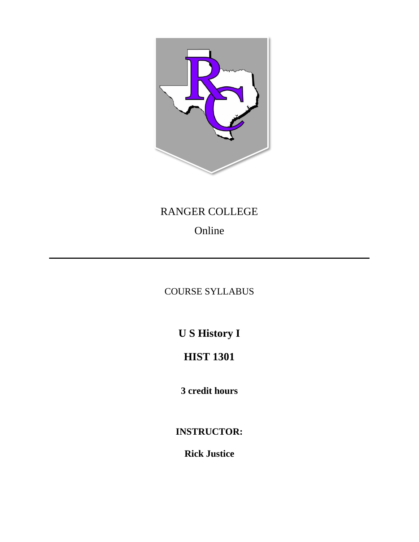

## RANGER COLLEGE

# Online

## COURSE SYLLABUS

**U S History I**

## **HIST 1301**

**3 credit hours**

**INSTRUCTOR:**

**Rick Justice**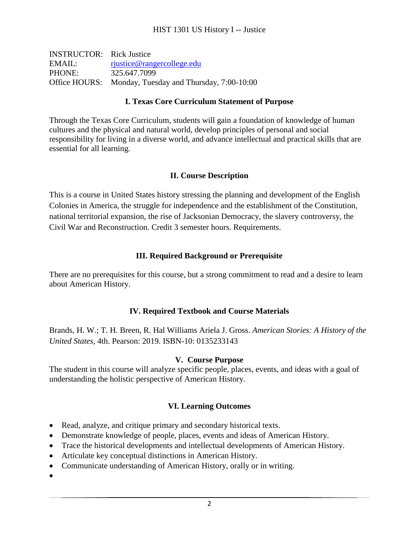| <b>INSTRUCTOR:</b> Rick Justice |                                                        |
|---------------------------------|--------------------------------------------------------|
| EMAIL:                          | rjustice@rangercollege.edu                             |
| PHONE:                          | 325.647.7099                                           |
|                                 | Office HOURS: Monday, Tuesday and Thursday, 7:00-10:00 |

#### **I. Texas Core Curriculum Statement of Purpose**

Through the Texas Core Curriculum, students will gain a foundation of knowledge of human cultures and the physical and natural world, develop principles of personal and social responsibility for living in a diverse world, and advance intellectual and practical skills that are essential for all learning.

### **II. Course Description**

This is a course in United States history stressing the planning and development of the English Colonies in America, the struggle for independence and the establishment of the Constitution, national territorial expansion, the rise of Jacksonian Democracy, the slavery controversy, the Civil War and Reconstruction. Credit 3 semester hours. Requirements.

### **III. Required Background or Prerequisite**

There are no prerequisites for this course, but a strong commitment to read and a desire to learn about American History.

### **IV. Required Textbook and Course Materials**

Brands, H. W.; T. H. Breen, R. Hal Williams Ariela J. Gross. *American Stories: A History of the United States*, 4th. Pearson: 2019. ISBN-10: 0135233143

### **V. Course Purpose**

The student in this course will analyze specific people, places, events, and ideas with a goal of understanding the holistic perspective of American History.

### **VI. Learning Outcomes**

- Read, analyze, and critique primary and secondary historical texts.
- Demonstrate knowledge of people, places, events and ideas of American History.
- Trace the historical developments and intellectual developments of American History.
- Articulate key conceptual distinctions in American History.
- Communicate understanding of American History, orally or in writing.

•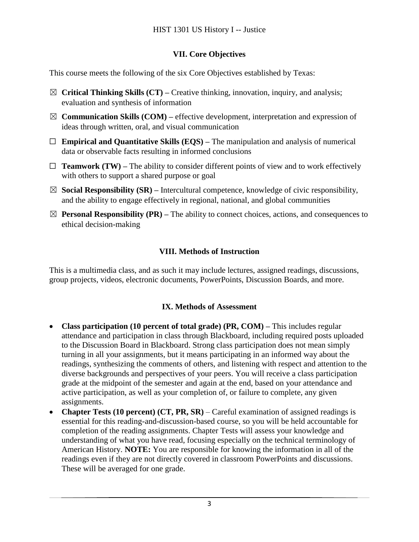## **VII. Core Objectives**

This course meets the following of the six Core Objectives established by Texas:

- ☒ **Critical Thinking Skills (CT) –** Creative thinking, innovation, inquiry, and analysis; evaluation and synthesis of information
- $\boxtimes$  **Communication Skills (COM)** effective development, interpretation and expression of ideas through written, oral, and visual communication
- ☐ **Empirical and Quantitative Skills (EQS) –** The manipulation and analysis of numerical data or observable facts resulting in informed conclusions
- $\Box$  **Teamwork (TW)** The ability to consider different points of view and to work effectively with others to support a shared purpose or goal
- ☒ **Social Responsibility (SR) –** Intercultural competence, knowledge of civic responsibility, and the ability to engage effectively in regional, national, and global communities
- $\boxtimes$  **Personal Responsibility (PR)** The ability to connect choices, actions, and consequences to ethical decision-making

## **VIII. Methods of Instruction**

This is a multimedia class, and as such it may include lectures, assigned readings, discussions, group projects, videos, electronic documents, PowerPoints, Discussion Boards, and more.

## **IX. Methods of Assessment**

- **Class participation (10 percent of total grade) (PR, COM) –** This includes regular attendance and participation in class through Blackboard, including required posts uploaded to the Discussion Board in Blackboard. Strong class participation does not mean simply turning in all your assignments, but it means participating in an informed way about the readings, synthesizing the comments of others, and listening with respect and attention to the diverse backgrounds and perspectives of your peers. You will receive a class participation grade at the midpoint of the semester and again at the end, based on your attendance and active participation, as well as your completion of, or failure to complete, any given assignments.
- **Chapter Tests (10 percent) (CT, PR, SR)**  Careful examination of assigned readings is essential for this reading-and-discussion-based course, so you will be held accountable for completion of the reading assignments. Chapter Tests will assess your knowledge and understanding of what you have read, focusing especially on the technical terminology of American History. **NOTE:** You are responsible for knowing the information in all of the readings even if they are not directly covered in classroom PowerPoints and discussions. These will be averaged for one grade.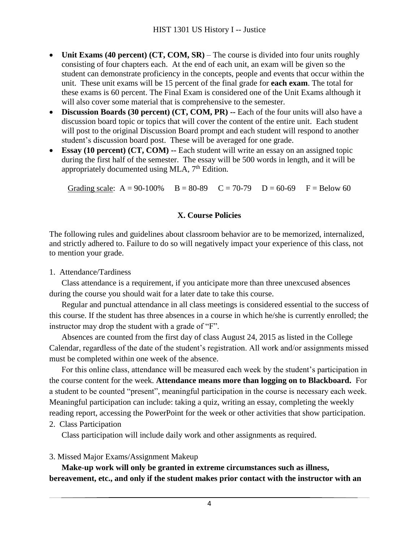- **Unit Exams** (40 percent) **(CT, COM, SR)** The course is divided into four units roughly consisting of four chapters each. At the end of each unit, an exam will be given so the student can demonstrate proficiency in the concepts, people and events that occur within the unit. These unit exams will be 15 percent of the final grade for **each exam**. The total for these exams is 60 percent. The Final Exam is considered one of the Unit Exams although it will also cover some material that is comprehensive to the semester.
- **Discussion Boards (30 percent) (CT, COM, PR) --** Each of the four units will also have a discussion board topic or topics that will cover the content of the entire unit. Each student will post to the original Discussion Board prompt and each student will respond to another student's discussion board post. These will be averaged for one grade.
- **Essay (10 percent) (CT, COM) --** Each student will write an essay on an assigned topic during the first half of the semester. The essay will be 500 words in length, and it will be appropriately documented using MLA, 7<sup>th</sup> Edition.

Grading scale:  $A = 90-100\%$   $B = 80-89$   $C = 70-79$   $D = 60-69$   $F = Below 60$ 

#### **X. Course Policies**

The following rules and guidelines about classroom behavior are to be memorized, internalized, and strictly adhered to. Failure to do so will negatively impact your experience of this class, not to mention your grade.

#### 1. Attendance/Tardiness

Class attendance is a requirement, if you anticipate more than three unexcused absences during the course you should wait for a later date to take this course.

Regular and punctual attendance in all class meetings is considered essential to the success of this course. If the student has three absences in a course in which he/she is currently enrolled; the instructor may drop the student with a grade of "F".

Absences are counted from the first day of class August 24, 2015 as listed in the College Calendar, regardless of the date of the student's registration. All work and/or assignments missed must be completed within one week of the absence.

For this online class, attendance will be measured each week by the student's participation in the course content for the week. **Attendance means more than logging on to Blackboard.** For a student to be counted "present", meaningful participation in the course is necessary each week. Meaningful participation can include: taking a quiz, writing an essay, completing the weekly reading report, accessing the PowerPoint for the week or other activities that show participation.

2. Class Participation

Class participation will include daily work and other assignments as required.

### 3. Missed Major Exams/Assignment Makeup

**Make-up work will only be granted in extreme circumstances such as illness, bereavement, etc., and only if the student makes prior contact with the instructor with an**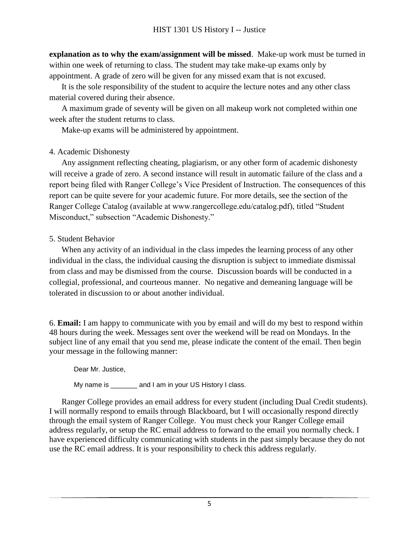**explanation as to why the exam/assignment will be missed**. Make-up work must be turned in within one week of returning to class. The student may take make-up exams only by appointment. A grade of zero will be given for any missed exam that is not excused.

It is the sole responsibility of the student to acquire the lecture notes and any other class material covered during their absence.

A maximum grade of seventy will be given on all makeup work not completed within one week after the student returns to class.

Make-up exams will be administered by appointment.

### 4. Academic Dishonesty

Any assignment reflecting cheating, plagiarism, or any other form of academic dishonesty will receive a grade of zero. A second instance will result in automatic failure of the class and a report being filed with Ranger College's Vice President of Instruction. The consequences of this report can be quite severe for your academic future. For more details, see the section of the Ranger College Catalog (available at www.rangercollege.edu/catalog.pdf), titled "Student Misconduct," subsection "Academic Dishonesty."

## 5. Student Behavior

When any activity of an individual in the class impedes the learning process of any other individual in the class, the individual causing the disruption is subject to immediate dismissal from class and may be dismissed from the course. Discussion boards will be conducted in a collegial, professional, and courteous manner. No negative and demeaning language will be tolerated in discussion to or about another individual.

6. **Email:** I am happy to communicate with you by email and will do my best to respond within 48 hours during the week. Messages sent over the weekend will be read on Mondays. In the subject line of any email that you send me, please indicate the content of the email. Then begin your message in the following manner:

Dear Mr. Justice,

My name is \_\_\_\_\_\_\_ and I am in your US History I class.

Ranger College provides an email address for every student (including Dual Credit students). I will normally respond to emails through Blackboard, but I will occasionally respond directly through the email system of Ranger College. You must check your Ranger College email address regularly, or setup the RC email address to forward to the email you normally check. I have experienced difficulty communicating with students in the past simply because they do not use the RC email address. It is your responsibility to check this address regularly.